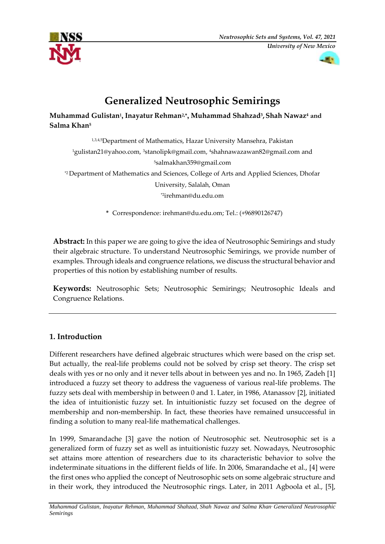



# **Generalized Neutrosophic Semirings**

**Muhammad Gulistan<sup>1</sup> , Inayatur Rehman2,\*, Muhammad Shahzad<sup>3</sup> ,Shah Nawaz<sup>4</sup> and Salma Khan<sup>5</sup>**

1,3,4,5Department of Mathematics, Hazar University Mansehra, Pakistan <sup>1</sup>gulistan21@yahoo.com,3[stanolipk@gmail.com,](mailto:3stanolipk@gmail.com) <sup>4</sup>[shahnawazawan82@gmail.com](mailto:4shahnawazawan82@gmail.com) and <sup>5</sup>salmakhan359@gmail.com \*2 Department of Mathematics and Sciences, College of Arts and Applied Sciences, Dhofar University, Salalah, Oman \*2[irehman@du.edu.om](mailto:irehman@du.edu.om)

**\*** Correspondence[: irehman@du.edu.om;](mailto:irehman@du.edu.om) Tel.: (+96890126747)

**Abstract:** In this paper we are going to give the idea of Neutrosophic Semirings and study their algebraic structure. To understand Neutrosophic Semirings, we provide number of examples. Through ideals and congruence relations, we discuss the structural behavior and properties of this notion by establishing number of results.

**Keywords:** Neutrosophic Sets; Neutrosophic Semirings; Neutrosophic Ideals and Congruence Relations.

# **1. Introduction**

Different researchers have defined algebraic structures which were based on the crisp set. But actually, the real-life problems could not be solved by crisp set theory. The crisp set deals with yes or no only and it never tells about in between yes and no. In 1965, Zadeh [1] introduced a fuzzy set theory to address the vagueness of various real-life problems. The fuzzy sets deal with membership in between 0 and 1. Later, in 1986, Atanassov [2], initiated the idea of intuitionistic fuzzy set. In intuitionistic fuzzy set focused on the degree of membership and non-membership. In fact, these theories have remained unsuccessful in finding a solution to many real-life mathematical challenges.

In 1999, Smarandache [3] gave the notion of Neutrosophic set. Neutrosophic set is a generalized form of fuzzy set as well as intuitionistic fuzzy set. Nowadays, Neutrosophic set attains more attention of researchers due to its characteristic behavior to solve the indeterminate situations in the different fields of life. In 2006, Smarandache et al., [4] were the first ones who applied the concept of Neutrosophic sets on some algebraic structure and in their work, they introduced the Neutrosophic rings. Later, in 2011 Agboola et al., [5],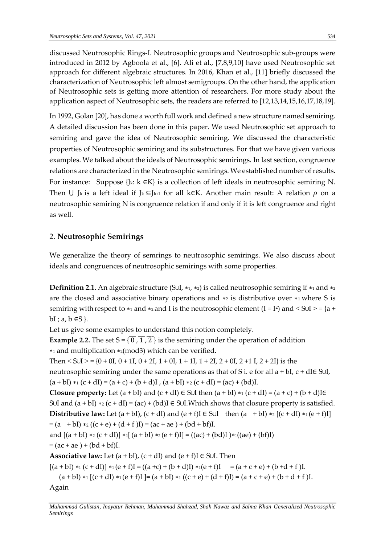discussed Neutrosophic Rings-I. Neutrosophic groups and Neutrosophic sub-groups were introduced in 2012 by Agboola et al., [6]. Ali et al., [7,8,9,10] have used Neutrosophic set approach for different algebraic structures. In 2016, Khan et al., [11] briefly discussed the characterization of Neutrosophic left almost semigroups. On the other hand, the application of Neutrosophic sets is getting more attention of researchers. For more study about the application aspect of Neutrosophic sets, the readers are referred to [12,13,14,15,16,17,18,19].

In 1992, Golan [20], has done a worth full work and defined a new structure named semiring. A detailed discussion has been done in this paper. We used Neutrosophic set approach to semiring and gave the idea of Neutrosophic semiring. We discussed the characteristic properties of Neutrosophic semiring and its substructures. For that we have given various examples. We talked about the ideals of Neutrosophic semirings. In last section, congruence relations are characterized in the Neutrosophic semirings. We established number of results. For instance: Suppose {Jk: k ∈K} is a collection of left ideals in neutrosophic semiring N. Then U J<sub>k</sub> is a left ideal if J<sub>k</sub> ⊆J<sub>k+1</sub> for all k∈K. Another main result: A relation  $\rho$  on a neutrosophic semiring N is congruence relation if and only if it is left congruence and right as well.

## 2. **Neutrosophic Semirings**

We generalize the theory of semrings to neutrosophic semirings. We also discuss about ideals and congruences of neutrosophic semirings with some properties.

**Definition 2.1.** An algebraic structure (S∪I, \*1, \*2) is called neutrosophic semiring if \*1 and \*2 are the closed and associative binary operations and ∗<sup>2</sup> is distributive over ∗1 where S is semiring with respect to  $*_1$  and  $*_2$  and I is the neutrosophic element (I = I<sup>2</sup>) and < S∪I > = {a +  $bI$ ; a,  $b \in S$  }.

Let us give some examples to understand this notion completely.

**Example 2.2.** The set  $S = \{0, 1, 2\}$  is the semiring under the operation of addition ∗<sup>1</sup> and multiplication ∗2(mod3) which can be verified.

```
Then \langle S∪I \rangle = {0 + 0I, 0 + 1I, 0 + 2I, 1 + 0I, 1 + 1I, 1 + 2I, 2 + 0I, 2 + 1 I, 2 + 2I} is the
neutrosophic semiring under the same operations as that of S i. e for all a + bI, c + dI \in S \cup I,
(a + bI) *1 (c + dI) = (a + c) + (b + d)I, (a + bI) *2 (c + dI) = (ac) + (bd)I.
```
**Closure property:** Let  $(a + bI)$  and  $(c + dI) \in S \cup I$  then  $(a + bI) *_{1} (c + dI) = (a + c) + (b + d)I \in$ S∪I and  $(a + bI) *_{2} (c + dI) = (ac) + (bd)I \in SU$ . Which shows that closure property is satisfied. **Distributive law:** Let  $(a + bI)$ ,  $(c + dI)$  and  $(e + f)I \in S \cup I$  then  $(a + bI) *_{2} [(c + dI) *_{1} (e + f)I]$  $= (a + bI) *_{2} ((c + e) + (d + f)I) = (ac + ae) + (bd + bf)I.$ and  $[(a + bI) *_{2} (c + dI)] *_{1} [(a + bI) *_{2} (e + f)I] = ((ac) + (bd)I) *_{1} ((ae) + (bf)I)$ 

 $= (ac + ae) + (bd + bf)I.$ 

**Associative law:** Let  $(a + bI)$ ,  $(c + dI)$  and  $(e + f)I \in S \cup I$ . Then

 $[(a + bI) *_{1} (c + dI)] *_{1} (e + f)I = ((a + c) + (b + d)I) *_{1} (e + f)I = (a + c + e) + (b + d + f)I.$ 

 $(a + bI) *1 [(c + dI) *1 (e + f)I] = (a + bI) *1 ((c + e) + (d + f)I) = (a + c + e) + (b + d + f)I.$ 

Again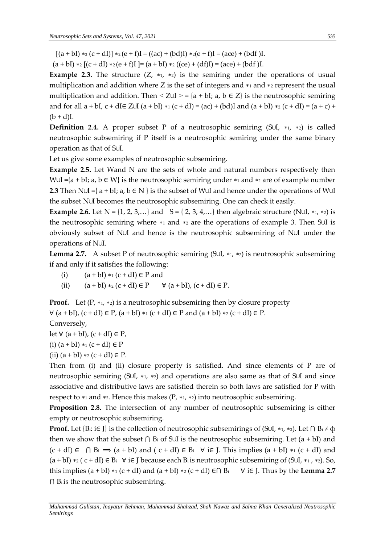$[(a + bI) *_{2} (c + dI)] *_{2} (e + f)I = ((ac) + (bd)I) *_{2} (e + f)I = (ace) + (bdf)I.$ 

 $(a + bI) *_{2} [(c + dI) *_{2} (e + f)I] = (a + bI) *_{2} ((ce) + (df)I) = (ace) + (bdf)I.$ 

**Example 2.3.** The structure  $(Z, *_{1}, *_{2})$  is the semiring under the operations of usual multiplication and addition where Z is the set of integers and  $*$ 1 and  $*$ 2 represent the usual multiplication and addition. Then  $\leq Z \cup I$  > = {a + bI; a, b  $\in Z$ } is the neutrosophic semiring and for all  $a + bI$ ,  $c + dI \in Z \cup I$   $(a + bI) *_{1} (c + dI) = (ac) + (bd)I$  and  $(a + bI) *_{2} (c + dI) = (a + c) +$  $(b + d)I$ .

**Definition 2**.**4.** A proper subset P of a neutrosophic semiring (S∪I, ∗1, ∗2) is called neutrosophic subsemiring if P itself is a neutrosophic semiring under the same binary operation as that of S∪I.

Let us give some examples of neutrosophic subsemiring.

**Example 2.5.** Let Wand N are the sets of whole and natural numbers respectively then W∪I ={a + bI; a, b  $\in$  W} is the neutrosophic semiring under  $*$ 1 and  $*$ 2 are of example number **2.3** Then N∪I ={ a + bI; a, b ∈ N } is the subset of W∪I and hence under the operations of W∪I the subset N∪I becomes the neutrosophic subsemiring. One can check it easily.

**Example 2.6.** Let  $N = \{1, 2, 3, ...\}$  and  $S = \{2, 3, 4, ...\}$  then algebraic structure (N∪I, \*1, \*2) is the neutrosophic semiring where ∗<sup>1</sup> and ∗<sup>2</sup> are the operations of example 3. Then S∪I is obviously subset of N∪I and hence is the neutrosophic subsemiring of N∪I under the operations of N∪I.

**Lemma 2.7.** A subset P of neutrosophic semiring (S∪I, ∗1, ∗2) is neutrosophic subsemiring if and only if it satisfies the following:

- (i)  $(a + bI) *_{1} (c + dI) \in P$  and
- (ii)  $(a + bI) *_{2} (c + dI) \in P$   $\forall (a + bI), (c + dI) \in P$ .

**Proof.** Let  $(P, *_{1}, *_{2})$  is a neutrosophic subsemiring then by closure property  $∀ (a + bI), (c + dI) ∈ P, (a + bI) *1 (c + dI) ∈ P$  and  $(a + bI) *2 (c + dI) ∈ P$ .

Conversely,

let ∀  $(a + bI)$ ,  $(c + dI) \in P$ ,

- (i)  $(a + bI) *_{1} (c + dI) \in P$
- (ii)  $(a + bI) *_{2} (c + dI) \in P$ .

Then from (i) and (ii) closure property is satisfied. And since elements of P are of neutrosophic semiring (S∪I, ∗1, ∗2) and operations are also same as that of S∪I and since associative and distributive laws are satisfied therein so both laws are satisfied for P with respect to  $*$ 1 and  $*$ 2. Hence this makes (P,  $*$ 1,  $*$ 2) into neutrosophic subsemiring.

**Proposition 2.8.** The intersection of any number of neutrosophic subsemiring is either empty or neutrosophic subsemiring.

**Proof.** Let {B<sub>i</sub>: i∈ J} is the collection of neutrosophic subsemirings of (S∪I, \*1, \*2). Let  $\bigcap B_i \neq \emptyset$ then we show that the subset  $\bigcap B_i$  of S∪I is the neutrosophic subsemiring. Let (a + bI) and  $(c + dI) \in \bigcap B_i \implies (a + bI)$  and  $(c + dI) \in B_i \quad \forall i \in J$ . This implies  $(a + bI) *_{1} (c + dI)$  and  $(a + bI) *_{2} (c + dI) \in B_{i}$  ∀ i∈ J because each Bi is neutrosophic subsemiring of (S∪I, \*1, \*2). So, this implies  $(a + bI) *1 (c + dI)$  and  $(a + bI) *2 (c + dI) \in \bigcap B_i \quad \forall i \in I$ . Thus by the **Lemma 2.7**  $\bigcap$  B<sub>i</sub> is the neutrosophic subsemiring.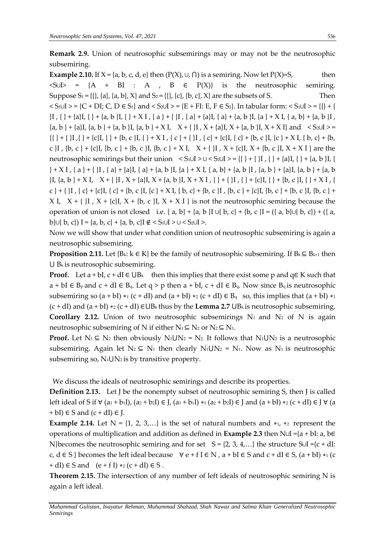**Remark 2.9.** Union of neutrosophic subsemirings may or may not be the neutrosophic subsemiring.

**Example 2.10.** If  $X = \{a, b, c, d, e\}$  then  $(P(X), \cup, \cap)$  is a semiring. Now let  $P(X)=S$ , then  $\langle SUS = \{A + BI : A, B \in P(X)\}\$  is the neutrosophic semiring. Suppose  $S_1 = \{ \{ \}, \{a\}, \{a, b\}, X \}$  and  $S_2 = \{ \{ \}, \{c\}, \{b, c\}, X \}$  are the subsets of S. Then  $S_1 \cup I$  > = {C + DI; C, D  $\in S_1$ } and < S<sub>2</sub>∪I > = {E + FI: E, F  $\in S_2$ }. In tabular form: < S<sub>1</sub>∪I > = {{} + { }I , { } + {a}I, { } + {a, b }I, { } + X I , { a } + { }I , { a} + {a}I, { a} + {a, b }I, {a } + X I, { a, b} + {a, b }I ,  ${a, b}$  +  ${a}$ I,  ${a, b}$  +  ${a, b}$  +  ${a, b}$ I,  ${a, b}$  +  $X$ I,  $X + \{1\}$ ,  $X + {a}$ I,  $X + {a, b}$ I,  $X + X$ I} and  $\le S_2 \cup I$  > =  $\{\{\} + {\{\}\} + {\{\}I}, \{\} + {\{c\}I}, \{\} + {\{\}b}, c\}I, \{\} + XI, \{c\} + {\{\}\}I, \{c\} + {\{c\}I}, \{c\} + {\{\}b}, c\}I, \{c\} + XI, \{b, c\} + {\{\}b}, c\}$ c }I , {b, c } + {c}I, {b, c } + {b, c }I, {b, c } + {x I,  $X + \{$ }I ,  $X + \{c\}$ I,  $X + \{b, c\}$ I,  $X + X$  I } are the neutrosophic semirings but their union  $\langle S_1 \cup S_2 \cup S_3 \rangle = \{ \} + \{ \} + \{ \}$ [, { } + {a}[, { } + {a, b }[, {  $} + X I$ , { a } + { }I, { a} + {a}I, { a} + {a, b }I, {a } + X I, { a, b} + {a, b }I, {a, b } + {a}I, {a, b } + {a, b  $\{I, \{a, b\} + X I, X + \{I, X + \{a\}I, X + \{a, b\}I, X + X I, \{\} + \{I, \{\} + \{c\}I, \{\} + \{b, c\}I, \{\} + X I, \{\}$ c } + {  $\vert I \vert$ , { c} + {c}I, { c} + {b, c }I, {c } + X I, { b, c } + {b, c }I, {b, c } + {c}I, {b, c } + {b, c }I, {b, c } + X I,  $X + \{ |I, X + \{c\}, X + \{b, c\}, X + X I \}$  is not the neutrosophic semiring because the operation of union is not closed i.e. { a, b} + {a, b }I ∪{ b, c} + {b, c }I = ({ a, b}∪{ b, c}) + ({ a, b}∪{ b, c}) I = {a, b, c} + {a, b, c}I ∉ < S<sub>1</sub>∪I > ∪ < S<sub>2</sub>∪I >.

Now we will show that under what condition union of neutrosophic subsemiring is again a neutrosophic subsemiring.

**Proposition 2.11.** Let {B<sub>k</sub>: k  $\in$  K} be the family of neutrosophic subsemiring. If B<sub>k</sub>  $\subseteq$  B<sub>k+1</sub> then  $\bigcup B_k$  is neutrosophic subsemiring.

**Proof.** Let a + bI,  $c$  + dI  $\in \bigcup B_k$  then this implies that there exist some p and q $\in K$  such that  $a + bI \in B_p$  and  $c + dI \in B_q$ . Let  $q > p$  then  $a + bI$ ,  $c + dI \in B_q$ . Now since  $B_q$  is neutrosophic subsemiring so  $(a + bI) *1 (c + dI)$  and  $(a + bI) *2 (c + dI) \in B<sub>q</sub>$  so, this implies that  $(a + bI) *1$  $(c + dI)$  and  $(a + bI) *_{2} (c + dI) \in UB_{k}$  thus by the **Lemma 2.7**  $UB_{k}$  is neutrosophic subsemiring. **Corollary 2.12.** Union of two neutrosophic subsemirings  $N_1$  and  $N_2$  of N is again neutrosophic subsemiring of N if either  $N_1 \subseteq N_2$  or  $N_2 \subseteq N_1$ .

**Proof.** Let  $N_1 \subseteq N_2$  then obviously  $N_1 \cup N_2 = N_2$ . It follows that  $N_1 \cup N_2$  is a neutrosophic subsemiring. Again let  $N_2 \subseteq N_1$  then clearly  $N_1UN_2 = N_1$ . Now as  $N_1$  is neutrosophic subsemiring so,  $N_1 UN_2$  is by transitive property.

We discuss the ideals of neutrosophic semirings and describe its properties.

**Definition 2.13.** Let J be the nonempty subset of neutrosophic semiring S, then J is called left ideal of S if  $\forall$  (a<sub>1</sub> + b<sub>1</sub>I), (a<sub>2</sub> + b<sub>2</sub>I) ∈ J, (a<sub>1</sub> + b<sub>1</sub>I) \*<sub>1</sub> (a<sub>2</sub> + b<sub>2</sub>I) ∈ J and (a + bI) \*<sub>2</sub> (c + dI) ∈ J  $\forall$  (a  $+ bI$ )  $\in$  S and  $(c + dI) \in$  J.

**Example 2.14.** Let  $N = \{1, 2, 3, ...\}$  is the set of natural numbers and  $*_1$ ,  $*_2$  represent the operations of multiplication and addition as defined in **Example 2.3** then N∪I ={a + bI: a, b∈ N}becomes the neutrosophic semiring and for set  $S = \{2, 3, 4, ...\}$  the structure S∪I ={c + dI: c, d ∈ S } becomes the left ideal because  $\forall e$  + f I ∈ N , a + bI ∈ S and c + dI ∈ S, (a + bI) \*1 (c  $+ dI$ )  $\in$  S and  $(e + f I) *_{2} (c + dI) \in$  S.

**Theorem 2.15.** The intersection of any number of left ideals of neutrosophic semiring N is again a left ideal.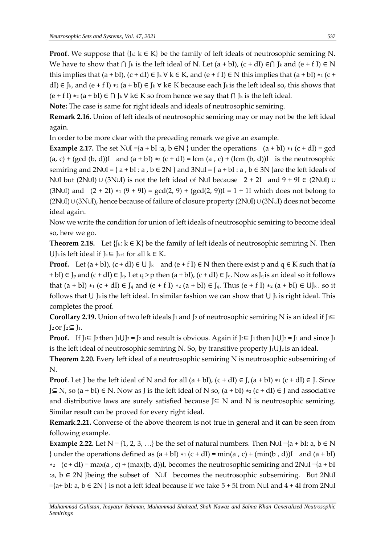**Proof.** We suppose that  $\{J_k: k \in K\}$  be the family of left ideals of neutrosophic semiring N. We have to show that  $\bigcap J_k$  is the left ideal of N. Let  $(a + bI)$ ,  $(c + dI) \in \bigcap J_k$  and  $(e + fI) \in N$ this implies that  $(a + bI)$ ,  $(c + dI) \in J_k \forall k \in K$ , and  $(e + fI) \in N$  this implies that  $(a + bI) *_{1} (c + I)$ dI) ∈ J<sub>k</sub>, and (e + f I) \*2 (a + bI) ∈ J<sub>k</sub> ∀ k∈ K because each J<sub>k</sub> is the left ideal so, this shows that  $(e + f I) *_{2} (a + b I) \in \bigcap I_{k} \forall k \in K$  so from hence we say that  $\bigcap I_{k}$  is the left ideal.

**Note:** The case is same for right ideals and ideals of neutrosophic semiring.

**Remark 2.16.** Union of left ideals of neutrosophic semiring may or may not be the left ideal again.

In order to be more clear with the preceding remark we give an example.

**Example 2.17.** The set N∪I ={a + bI :a, b  $\in$ N } under the operations  $(a + bI) *1(c + dI) = gcd$  $(a, c) + (gcd (b, d))I$  and  $(a + bI) *_{2} (c + dI) = lcm (a, c) + (lcm (b, d))I$  is the neutrosophic semiring and 2N∪I = { $a + bI : a, b \in 2N$ } and 3N∪I = { $a + bI : a, b \in 3N$ } are the left ideals of N∪I but (2N∪I) ∪ (3N∪I) is not the left ideal of N∪I because 2 + 2I and 9 + 9I ∈ (2N∪I) ∪ (3N∪I) and  $(2 + 2I)$  \*1  $(9 + 9I) = gcd(2, 9) + (gcd(2, 9))I = 1 + 1I$  which does not belong to (2N∪I) ∪ (3N∪I), hence because of failure of closure property (2N∪I) ∪ (3N∪I) does not become ideal again.

Now we write the condition for union of left ideals of neutrosophic semiring to become ideal so, here we go.

**Theorem 2.18.** Let  $\{J_k: k \in K\}$  be the family of left ideals of neutrosophic semiring N. Then  $\bigcup$ <sub>k</sub> is left ideal if J<sub>k</sub>⊆ J<sub>k+1</sub> for all  $k \in K$ .

**Proof.** Let  $(a + bI)$ ,  $(c + dI) \in U J_k$  and  $(e + f I) \in N$  then there exist p and  $q \in K$  such that  $(a + bI)$ + bI)  $\in J_p$  and  $(c + dI) \in J_q$ . Let q > p then  $(a + bI)$ ,  $(c + dI) \in J_q$ . Now as  $J_q$  is an ideal so it follows that (a + bI) \*1 (c + dI) ∈ J<sub>q</sub> and (e + f I) \*2 (a + bI) ∈ J<sub>q</sub>. Thus (e + f I) \*2 (a + bI) ∈ UJ<sub>k</sub>. so it follows that  $\bigcup$  Jk is the left ideal. In similar fashion we can show that  $\bigcup$  Jk is right ideal. This completes the proof.

**Corollary 2.19.** Union of two left ideals J<sub>1</sub> and J<sub>2</sub> of neutrosophic semiring N is an ideal if J<sub>1</sub>⊆  $J_2$  or  $J_2 \subseteq J_1$ .

**Proof.** If J<sub>1</sub>⊆ J<sub>2</sub> then J<sub>1</sub>∪J<sub>2</sub> = J<sub>2</sub> and result is obvious. Again if J<sub>2</sub>⊆ J<sub>1</sub> then J<sub>1</sub>∪J<sub>2</sub> = J<sub>1</sub> and since J<sub>1</sub> is the left ideal of neutrosophic semiring N. So, by transitive property  $J_1 \cup J_2$  is an ideal.

**Theorem 2.20.** Every left ideal of a neutrosophic semiring N is neutrosophic subsemiring of N.

**Proof**. Let J be the left ideal of N and for all  $(a + bI)$ ,  $(c + dI) \in J$ ,  $(a + bI) *1$ ,  $(c + dI) \in J$ . Since J⊆ N, so  $(a + bI) \in N$ . Now as J is the left ideal of N so,  $(a + bI) *_{2} (c + dI) \in J$  and associative and distributive laws are surely satisfied because  $J\subseteq N$  and N is neutrosophic semiring. Similar result can be proved for every right ideal.

**Remark**.**2.21.** Converse of the above theorem is not true in general and it can be seen from following example.

**Example 2.22.** Let  $N = \{1, 2, 3, ...\}$  be the set of natural numbers. Then  $N \cup I = \{a + bI : a, b \in N\}$ } under the operations defined as  $(a + bI) *1 (c + dI) = min(a, c) + (min(b, d))I$  and  $(a + bI)$  $\star_2$  (c + dI) = max(a, c) + (max(b, d))I, becomes the neutrosophic semiring and 2N∪I ={a + bI :a, b ∈ 2N }being the subset of N∪I becomes the neutrosophic subsemiring. But 2N∪I  $=\{a+ bI: a, b \in 2N \}$  is not a left ideal because if we take  $5 + 5I$  from N∪I and  $4 + 4I$  from 2N∪I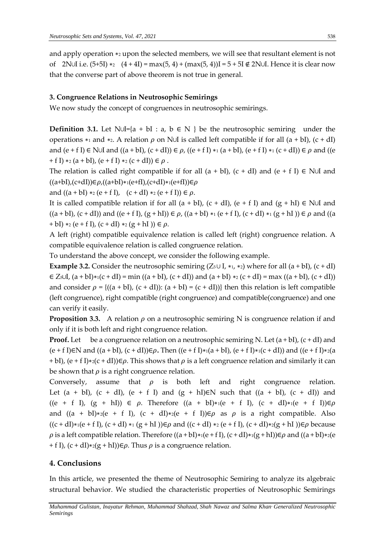and apply operation ∗<sup>2</sup> upon the selected members, we will see that resultant element is not of 2N∪I i.e.  $(5+5I) *_{2} (4+4I) = max(5, 4) + (max(5, 4))I = 5 + 5I \notin 2$ N∪I. Hence it is clear now that the converse part of above theorem is not true in general.

#### **3. Congruence Relations in Neutrosophic Semirings**

We now study the concept of congruences in neutrosophic semirings.

**Definition 3.1.** Let N∪I={a + bI : a, b ∈ N } be the neutrosophic semiring under the operations  $*_1$  and  $*_2$ . A relation  $\rho$  on N∪I is called left compatible if for all  $(a + bI)$ ,  $(c + dI)$ and  $(e + f I) \in N \cup I$  and  $((a + bI), (c + dI)) \in \rho$ ,  $((e + f I) *_{1} (a + bI), (e + f I) *_{1} (c + dI)) \in \rho$  and  $((e + f I) *_{1} (a + bI))$ + f I)  $*_2$  (a + bI), (e + f I)  $*_2$  (c + dI))  $\in \rho$ .

The relation is called right compatible if for all  $(a + bI)$ ,  $(c + dI)$  and  $(e + fI) \in N \cup I$  and  $((a+bI),(c+dI))\in \rho$ , $((a+bI)*(e+fI),(c+dI)*(e+fI))\in \rho$ 

and  $((a + bI) *_{2} (e + fI), (c + dI) *_{2} (e + fI)) \in \rho$ .

It is called compatible relation if for all  $(a + bI)$ ,  $(c + dI)$ ,  $(e + fI)$  and  $(g + hI) \in N \cup I$  and  $((a + bI), (c + dI))$  and  $((e + fI), (g + hI)) \in \rho$ ,  $((a + bI) * (e + fI), (c + dI) * (g + hI)) \in \rho$  and  $((a + bI) * (e + fI))$ + bI)  $*_2$  (e + f I), (c + dI)  $*_2$  (g + hI))  $\in \rho$ .

A left (right) compatible equivalence relation is called left (right) congruence relation. A compatible equivalence relation is called congruence relation.

To understand the above concept, we consider the following example.

**Example 3.2.** Consider the neutrosophic semiring  $(Z_5 \cup I, *_1, *_2)$  where for all  $(a + bI)$ ,  $(c + dI)$  $\in Z_5 \cup I$ ,  $(a + bI)*(c + dI) = min ((a + bI)$ ,  $(c + dI))$  and  $(a + bI)*(c + dI) = max ((a + bI)$ ,  $(c + dI))$ and consider  $\rho = \{(a + bI), (c + dI)\}\; (a + bI) = (c + dI)\}$  then this relation is left compatible (left congruence), right compatible (right congruence) and compatible(congruence) and one can verify it easily.

**Proposition 3.3.** A relation  $\rho$  on a neutrosophic semiring N is congruence relation if and only if it is both left and right congruence relation.

**Proof.** Let be a congruence relation on a neutrosophic semiring N. Let  $(a + bI)$ ,  $(c + dI)$  and  $(e + f I) \in N$  and  $((a + bI), (c + dI)) \in \rho$ . Then  $((e + f I) * (a + bI), (e + f I) * (c + dI))$  and  $((e + f I) * (a + bI))$ + bI), (e + f I)\*2(c + dI)) $\in \rho$ . This shows that  $\rho$  is a left congruence relation and similarly it can be shown that  $\rho$  is a right congruence relation.

Conversely, assume that  $\rho$  is both left and right congruence relation. Let  $(a + bI)$ ,  $(c + dI)$ ,  $(e + f I)$  and  $(g + hI) \in N$  such that  $((a + bI)$ ,  $(c + dI))$  and  $((e + f I), (g + h I)) \in \rho$ . Therefore  $((a + bI)*(e + f I), (c + dI)*(e + f I))\in \rho$ and  $((a + bI)*2(e + f I), (c + dI)*2(e + f I))\in\rho$  as  $\rho$  is a right compatible. Also  $((c + dI)*(e + fI), (c + dI)*(g + hI))\in \rho$  and  $((c + dI)*(e + fI), (c + dI)*(g + hI))\in \rho$  because  $\rho$  is a left compatible relation. Therefore  $((a + bI)*(e + fI), (c + dI)*(g + hI))\in \rho$  and  $((a + bI)*(e$ + f I),  $(c + dI) *_{2}(g + hI) \in \rho$ . Thus  $\rho$  is a congruence relation.

### **4. Conclusions**

In this article, we presented the theme of Neutrosophic Semiring to analyze its algebraic structural behavior. We studied the characteristic properties of Neutrosophic Semirings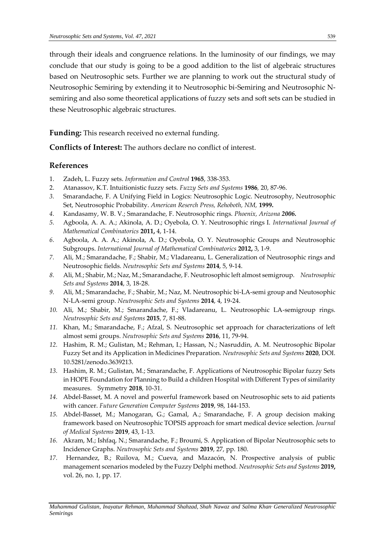through their ideals and congruence relations. In the luminosity of our findings, we may conclude that our study is going to be a good addition to the list of algebraic structures based on Neutrosophic sets. Further we are planning to work out the structural study of Neutrosophic Semiring by extending it to Neutrosophic bi-Semiring and Neutrosophic Nsemiring and also some theoretical applications of fuzzy sets and soft sets can be studied in these Neutrosophic algebraic structures.

**Funding:** This research received no external funding.

**Conflicts of Interest:** The authors declare no conflict of interest.

#### **References**

- 1. Zadeh, L. Fuzzy sets. *Information and Control* **1965**, 338-353.
- 2. Atanassov, K.T. Intuitionistic fuzzy sets. *Fuzzy Sets and Systems* **1986***,* 20, 87-96.
- *3.* Smarandache, F. A Unifying Field in Logics: Neutrosophic Logic. Neutrosophy, Neutrosophic Set, Neutrosophic Probability. *American Reserch Press, Rehoboth, NM,* **1999.**
- *4.* Kandasamy, W. B. V.; Smarandache, F. Neutrosophic rings. *Phoenix, Arizona 2006.*
- *5.* Agbοοla, A. A. A.; Akinοla, A. D.; Oyebοla, O. Y. Neutrosοphic rings I. *International Journal of Mathеmatical Combinatorics* **2011,** 4, 1-14.
- *6.* Agbοοla, A. A. A.; Akinοla, A. D.; Oyebοla, O. Y. Neutrosophic Groups and Neutrosophic Subgroups. *International Journal of Mathеmatical Combinatorics* **2012,** 3, 1-9.
- *7.* Ali, M.; Smarandache, F.; Shabir, M.; Vladareanu, L. Generalization of Neutrosophic rings and Neutrosophic fields. *Neutrosophic Sets and Systems* **2014**, 5, 9-14.
- *8.* Ali, M.; Shabir, M.; Naz, M.; Smarandache, F. Neutrosophic left almost semigroup. *Neutrosophic Sets and Systems* **2014**, 3, 18-28.
- *9.* Ali, M.; Smarandache, F.; Shabir, M.; Naz, M. Neutrosophic bi-LA-semi group and Neutosophic N-LA-semi group. *Neutrosophic Sets and Systems* **2014**, 4, 19-24.
- *10.* Ali, M.; Shabir, M.; Smarandache, F.; Vladareanu, L. Neutrosophic LA-semigroup rings. *Neutrosophic Sets and Systems* **2015**, 7, 81-88.
- *11.* Khan, M.; Smarandache, F.; Afzal, S. Neutrosophic set approach for characterizations of left almost semi groups. *Neutrosophic Sets and Systems* **2016**, 11, 79-94.
- *12.* Hashim, R. M.; Gulistan, M.; Rehman, I.; Hassan, N.; Nasruddin, A. M. Neutrosophic Bipolar Fuzzy Set and its Application in Medicines Preparation. *Neutrosophic Sets and Systems* **2020**, DOI. 10.5281/zenodo.3639213.
- *13.* Hashim, R. M.; Gulistan, M.; Smarandache, F. Applications of Neutrosophic Bipolar fuzzy Sets in HOPE Foundation for Planning to Build a children Hospital with Different Types of similarity measures. Symmetry **2018**, 10-31.
- *14.* Abdel-Basset, M. A novel and powerful framework based on Neutrosophic sets to aid patients with cancer. *Future Generation Computer Systems* **2019**, 98, 144-153.
- *15.* Abdel-Basset, M.; Manogaran, G.; Gamal, A.; Smarandache, F. A group decision making framework based on Neutrosophic TOPSIS approach for smart medical device selection. *Journal of Medical Systems* **2019**, 43, 1-13.
- *16.* Akram, M.; Ishfaq, N.; Smarandache, F.; Broumi, S. Application of Bipolar Neutrosophic sets to Incidence Graphs. *Neutrosophic Sets and Systems* **2019**, 27, pp. 180.
- *17.* Hernandez, B.; Ruilova, M.; Cueva, and Mazacón, N. Prospective analysis of public management scenarios modeled by the Fuzzy Delphi method*. Neutrosophic Sets and Systems* **2019,** vol. 26, no. 1, pp. 17.